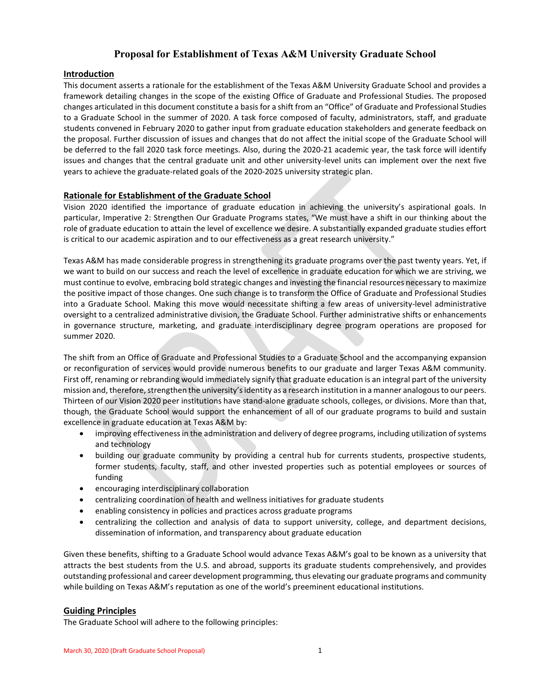# **Proposal for Establishment of Texas A&M University Graduate School**

# **Introduction**

This document asserts a rationale for the establishment of the Texas A&M University Graduate School and provides a framework detailing changes in the scope of the existing Office of Graduate and Professional Studies. The proposed changes articulated in this document constitute a basis for a shift from an "Office" of Graduate and Professional Studies to a Graduate School in the summer of 2020. A task force composed of faculty, administrators, staff, and graduate students convened in February 2020 to gather input from graduate education stakeholders and generate feedback on the proposal. Further discussion of issues and changes that do not affect the initial scope of the Graduate School will be deferred to the fall 2020 task force meetings. Also, during the 2020-21 academic year, the task force will identify issues and changes that the central graduate unit and other university-level units can implement over the next five years to achieve the graduate-related goals of the 2020-2025 university strategic plan.

# **Rationale for Establishment of the Graduate School**

Vision 2020 identified the importance of graduate education in achieving the university's aspirational goals. In particular, Imperative 2: Strengthen Our Graduate Programs states, "We must have a shift in our thinking about the role of graduate education to attain the level of excellence we desire. A substantially expanded graduate studies effort is critical to our academic aspiration and to our effectiveness as a great research university."

Texas A&M has made considerable progress in strengthening its graduate programs over the past twenty years. Yet, if we want to build on our success and reach the level of excellence in graduate education for which we are striving, we must continue to evolve, embracing bold strategic changes and investing the financial resources necessary to maximize the positive impact of those changes. One such change is to transform the Office of Graduate and Professional Studies into a Graduate School. Making this move would necessitate shifting a few areas of university-level administrative oversight to a centralized administrative division, the Graduate School. Further administrative shifts or enhancements in governance structure, marketing, and graduate interdisciplinary degree program operations are proposed for summer 2020.

The shift from an Office of Graduate and Professional Studies to a Graduate School and the accompanying expansion or reconfiguration of services would provide numerous benefits to our graduate and larger Texas A&M community. First off, renaming or rebranding would immediately signify that graduate education is an integral part of the university mission and, therefore, strengthen the university's identity as a research institution in a manner analogous to our peers. Thirteen of our Vision 2020 peer institutions have stand-alone graduate schools, colleges, or divisions. More than that, though, the Graduate School would support the enhancement of all of our graduate programs to build and sustain excellence in graduate education at Texas A&M by:

- improving effectiveness in the administration and delivery of degree programs, including utilization of systems and technology
- building our graduate community by providing a central hub for currents students, prospective students, former students, faculty, staff, and other invested properties such as potential employees or sources of funding
- encouraging interdisciplinary collaboration
- centralizing coordination of health and wellness initiatives for graduate students
- enabling consistency in policies and practices across graduate programs
- centralizing the collection and analysis of data to support university, college, and department decisions, dissemination of information, and transparency about graduate education

Given these benefits, shifting to a Graduate School would advance Texas A&M's goal to be known as a university that attracts the best students from the U.S. and abroad, supports its graduate students comprehensively, and provides outstanding professional and career development programming, thus elevating our graduate programs and community while building on Texas A&M's reputation as one of the world's preeminent educational institutions.

# **Guiding Principles**

The Graduate School will adhere to the following principles: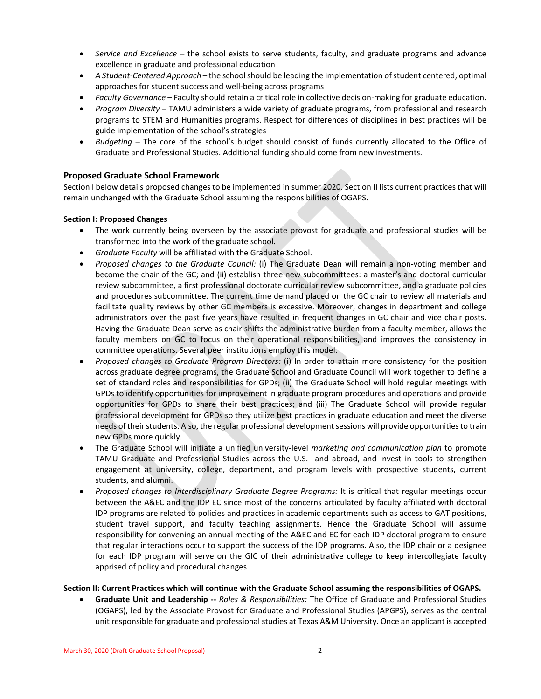- *Service and Excellence* the school exists to serve students, faculty, and graduate programs and advance excellence in graduate and professional education
- *A Student-Centered Approach* the school should be leading the implementation of student centered, optimal approaches for student success and well-being across programs
- *Faculty Governance* Faculty should retain a critical role in collective decision-making for graduate education.
- *Program Diversity* TAMU administers a wide variety of graduate programs, from professional and research programs to STEM and Humanities programs. Respect for differences of disciplines in best practices will be guide implementation of the school's strategies
- *Budgeting* The core of the school's budget should consist of funds currently allocated to the Office of Graduate and Professional Studies. Additional funding should come from new investments.

# **Proposed Graduate School Framework**

Section I below details proposed changes to be implemented in summer 2020. Section II lists current practices that will remain unchanged with the Graduate School assuming the responsibilities of OGAPS.

# **Section I: Proposed Changes**

- The work currently being overseen by the associate provost for graduate and professional studies will be transformed into the work of the graduate school.
- *Graduate Faculty* will be affiliated with the Graduate School.
- *Proposed changes to the Graduate Council:* (i) The Graduate Dean will remain a non-voting member and become the chair of the GC; and (ii) establish three new subcommittees: a master's and doctoral curricular review subcommittee, a first professional doctorate curricular review subcommittee, and a graduate policies and procedures subcommittee. The current time demand placed on the GC chair to review all materials and facilitate quality reviews by other GC members is excessive. Moreover, changes in department and college administrators over the past five years have resulted in frequent changes in GC chair and vice chair posts. Having the Graduate Dean serve as chair shifts the administrative burden from a faculty member, allows the faculty members on GC to focus on their operational responsibilities, and improves the consistency in committee operations. Several peer institutions employ this model.
- *Proposed changes to Graduate Program Directors:* (i) In order to attain more consistency for the position across graduate degree programs, the Graduate School and Graduate Council will work together to define a set of standard roles and responsibilities for GPDs; (ii) The Graduate School will hold regular meetings with GPDs to identify opportunities for improvement in graduate program procedures and operations and provide opportunities for GPDs to share their best practices; and (iii) The Graduate School will provide regular professional development for GPDs so they utilize best practices in graduate education and meet the diverse needs of their students. Also, the regular professional development sessions will provide opportunitiesto train new GPDs more quickly.
- The Graduate School will initiate a unified university-level *marketing and communication plan* to promote TAMU Graduate and Professional Studies across the U.S. and abroad, and invest in tools to strengthen engagement at university, college, department, and program levels with prospective students, current students, and alumni.
- *Proposed changes to Interdisciplinary Graduate Degree Programs:* It is critical that regular meetings occur between the A&EC and the IDP EC since most of the concerns articulated by faculty affiliated with doctoral IDP programs are related to policies and practices in academic departments such as access to GAT positions, student travel support, and faculty teaching assignments. Hence the Graduate School will assume responsibility for convening an annual meeting of the A&EC and EC for each IDP doctoral program to ensure that regular interactions occur to support the success of the IDP programs. Also, the IDP chair or a designee for each IDP program will serve on the GIC of their administrative college to keep intercollegiate faculty apprised of policy and procedural changes.

# **Section II: Current Practices which will continue with the Graduate School assuming the responsibilities of OGAPS.**

• **Graduate Unit and Leadership --** *Roles & Responsibilities:* The Office of Graduate and Professional Studies (OGAPS), led by the Associate Provost for Graduate and Professional Studies (APGPS), serves as the central unit responsible for graduate and professional studies at Texas A&M University. Once an applicant is accepted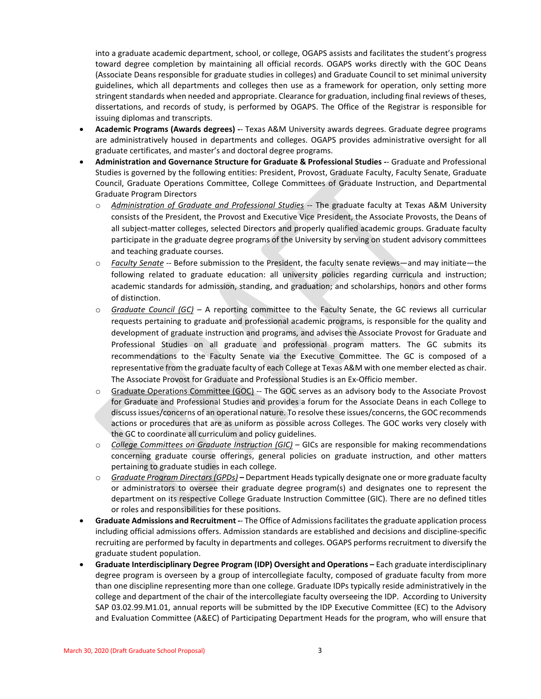into a graduate academic department, school, or college, OGAPS assists and facilitates the student's progress toward degree completion by maintaining all official records. OGAPS works directly with the GOC Deans (Associate Deans responsible for graduate studies in colleges) and Graduate Council to set minimal university guidelines, which all departments and colleges then use as a framework for operation, only setting more stringent standards when needed and appropriate. Clearance for graduation, including final reviews of theses, dissertations, and records of study, is performed by OGAPS. The Office of the Registrar is responsible for issuing diplomas and transcripts.

- **Academic Programs (Awards degrees) -** Texas A&M University awards degrees. Graduate degree programs are administratively housed in departments and colleges. OGAPS provides administrative oversight for all graduate certificates, and master's and doctoral degree programs.
- **Administration and Governance Structure for Graduate & Professional Studies -** Graduate and Professional Studies is governed by the following entities: President, Provost, Graduate Faculty, Faculty Senate, Graduate Council, Graduate Operations Committee, College Committees of Graduate Instruction, and Departmental Graduate Program Directors
	- o *Administration of Graduate and Professional Studies* -- The graduate faculty at Texas A&M University consists of the President, the Provost and Executive Vice President, the Associate Provosts, the Deans of all subject-matter colleges, selected Directors and properly qualified academic groups. Graduate faculty participate in the graduate degree programs of the University by serving on student advisory committees and teaching graduate courses.
	- o *Faculty Senate* -- Before submission to the President, the faculty senate reviews—and may initiate—the following related to graduate education: all university policies regarding curricula and instruction; academic standards for admission, standing, and graduation; and scholarships, honors and other forms of distinction.
	- o *Graduate Council (GC)* A reporting committee to the Faculty Senate, the GC reviews all curricular requests pertaining to graduate and professional academic programs, is responsible for the quality and development of graduate instruction and programs, and advises the Associate Provost for Graduate and Professional Studies on all graduate and professional program matters. The GC submits its recommendations to the Faculty Senate via the Executive Committee. The GC is composed of a representative from the graduate faculty of each College at Texas A&M with one member elected as chair. The Associate Provost for Graduate and Professional Studies is an Ex-Officio member.
	- $\circ$  Graduate Operations Committee (GOC) -- The GOC serves as an advisory body to the Associate Provost for Graduate and Professional Studies and provides a forum for the Associate Deans in each College to discuss issues/concerns of an operational nature. To resolve these issues/concerns, the GOC recommends actions or procedures that are as uniform as possible across Colleges. The GOC works very closely with the GC to coordinate all curriculum and policy guidelines.
	- o *College Committees on Graduate Instruction (GIC)* GICs are responsible for making recommendations concerning graduate course offerings, general policies on graduate instruction, and other matters pertaining to graduate studies in each college.
	- o *Graduate Program Directors(GPDs)* **–** Department Headstypically designate one or more graduate faculty or administrators to oversee their graduate degree program(s) and designates one to represent the department on its respective College Graduate Instruction Committee (GIC). There are no defined titles or roles and responsibilities for these positions.
- **Graduate Admissions and Recruitment -** The Office of Admissions facilitates the graduate application process including official admissions offers. Admission standards are established and decisions and discipline-specific recruiting are performed by faculty in departments and colleges. OGAPS performs recruitment to diversify the graduate student population.
- **Graduate Interdisciplinary Degree Program (IDP) Oversight and Operations –** Each graduate interdisciplinary degree program is overseen by a group of intercollegiate faculty, composed of graduate faculty from more than one discipline representing more than one college. Graduate IDPs typically reside administratively in the college and department of the chair of the intercollegiate faculty overseeing the IDP. According to University SAP 03.02.99.M1.01, annual reports will be submitted by the IDP Executive Committee (EC) to the Advisory and Evaluation Committee (A&EC) of Participating Department Heads for the program, who will ensure that